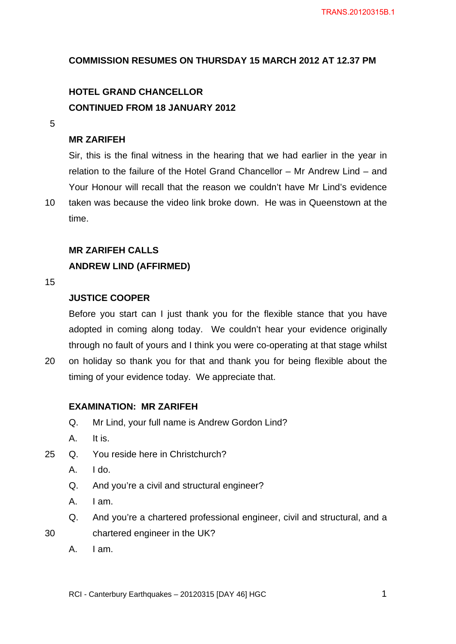# **COMMISSION RESUMES ON THURSDAY 15 MARCH 2012 AT 12.37 PM**

# **HOTEL GRAND CHANCELLOR CONTINUED FROM 18 JANUARY 2012**

5

# **MR ZARIFEH**

Sir, this is the final witness in the hearing that we had earlier in the year in relation to the failure of the Hotel Grand Chancellor – Mr Andrew Lind – and Your Honour will recall that the reason we couldn't have Mr Lind's evidence

10 taken was because the video link broke down. He was in Queenstown at the time.

#### **MR ZARIFEH CALLS**

## **ANDREW LIND (AFFIRMED)**

#### 15

# **JUSTICE COOPER**

Before you start can I just thank you for the flexible stance that you have adopted in coming along today. We couldn't hear your evidence originally through no fault of yours and I think you were co-operating at that stage whilst 20 on holiday so thank you for that and thank you for being flexible about the

## **EXAMINATION: MR ZARIFEH**

Q. Mr Lind, your full name is Andrew Gordon Lind?

timing of your evidence today. We appreciate that.

- A. It is.
- 25 Q. You reside here in Christchurch?
	- A. I do.
	- Q. And you're a civil and structural engineer?
	- A. I am.
	- Q. And you're a chartered professional engineer, civil and structural, and a
- 30 chartered engineer in the UK?
	- A. I am.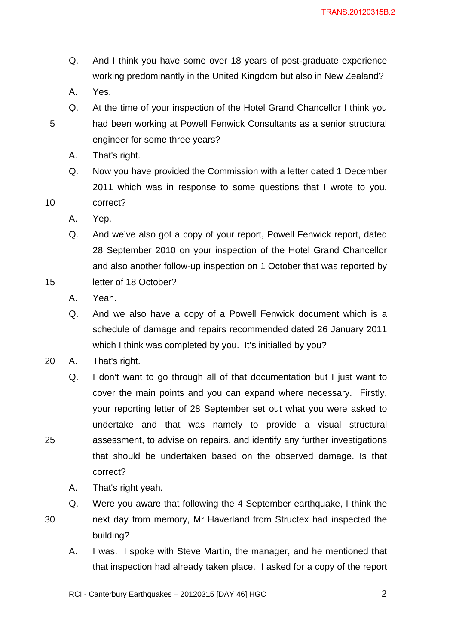- Q. And I think you have some over 18 years of post-graduate experience working predominantly in the United Kingdom but also in New Zealand?
- A. Yes.
- Q. At the time of your inspection of the Hotel Grand Chancellor I think you 5 had been working at Powell Fenwick Consultants as a senior structural engineer for some three years?
	- A. That's right.
- Q. Now you have provided the Commission with a letter dated 1 December 2011 which was in response to some questions that I wrote to you, 10 correct?
	- A. Yep.
	- Q. And we've also got a copy of your report, Powell Fenwick report, dated 28 September 2010 on your inspection of the Hotel Grand Chancellor and also another follow-up inspection on 1 October that was reported by
- 15 letter of 18 October?
	- A. Yeah.
	- Q. And we also have a copy of a Powell Fenwick document which is a schedule of damage and repairs recommended dated 26 January 2011 which I think was completed by you. It's initialled by you?
- 20 A. That's right.
- Q. I don't want to go through all of that documentation but I just want to cover the main points and you can expand where necessary. Firstly, your reporting letter of 28 September set out what you were asked to undertake and that was namely to provide a visual structural 25 assessment, to advise on repairs, and identify any further investigations that should be undertaken based on the observed damage. Is that correct?
	- A. That's right yeah.
	- Q. Were you aware that following the 4 September earthquake, I think the
- 
- 30 next day from memory, Mr Haverland from Structex had inspected the building?
	- A. I was. I spoke with Steve Martin, the manager, and he mentioned that that inspection had already taken place. I asked for a copy of the report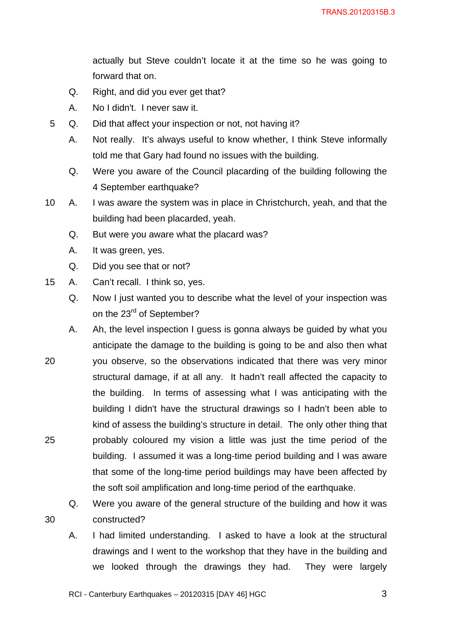actually but Steve couldn't locate it at the time so he was going to forward that on.

- Q. Right, and did you ever get that?
- A. No I didn't. I never saw it.
- 5 Q. Did that affect your inspection or not, not having it?
	- A. Not really. It's always useful to know whether, I think Steve informally told me that Gary had found no issues with the building.
	- Q. Were you aware of the Council placarding of the building following the 4 September earthquake?
- 10 A. I was aware the system was in place in Christchurch, yeah, and that the building had been placarded, yeah.
	- Q. But were you aware what the placard was?
	- A. It was green, yes.
	- Q. Did you see that or not?
- 15 A. Can't recall. I think so, yes.
	- Q. Now I just wanted you to describe what the level of your inspection was on the 23<sup>rd</sup> of September?
- A. Ah, the level inspection I guess is gonna always be guided by what you anticipate the damage to the building is going to be and also then what 20 you observe, so the observations indicated that there was very minor structural damage, if at all any. It hadn't reall affected the capacity to the building. In terms of assessing what I was anticipating with the building I didn't have the structural drawings so I hadn't been able to kind of assess the building's structure in detail. The only other thing that 25 probably coloured my vision a little was just the time period of the building. I assumed it was a long-time period building and I was aware that some of the long-time period buildings may have been affected by the soft soil amplification and long-time period of the earthquake.
- Q. Were you aware of the general structure of the building and how it was 30 constructed?
	- A. I had limited understanding. I asked to have a look at the structural drawings and I went to the workshop that they have in the building and we looked through the drawings they had. They were largely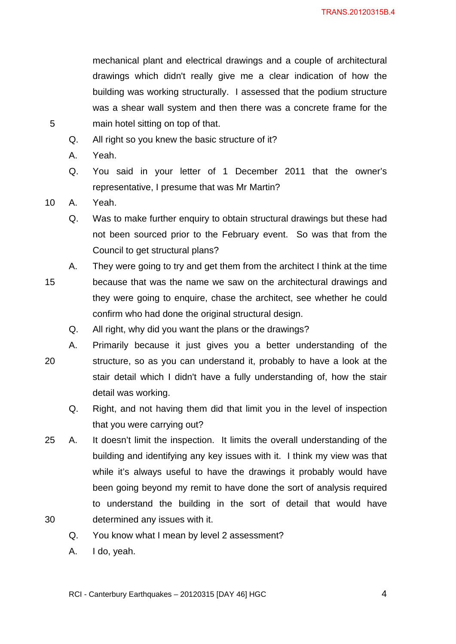mechanical plant and electrical drawings and a couple of architectural drawings which didn't really give me a clear indication of how the building was working structurally. I assessed that the podium structure was a shear wall system and then there was a concrete frame for the 5 main hotel sitting on top of that.

- Q. All right so you knew the basic structure of it?
- A. Yeah.
- Q. You said in your letter of 1 December 2011 that the owner's representative, I presume that was Mr Martin?

10 A. Yeah.

- Q. Was to make further enquiry to obtain structural drawings but these had not been sourced prior to the February event. So was that from the Council to get structural plans?
- A. They were going to try and get them from the architect I think at the time
- 15 because that was the name we saw on the architectural drawings and they were going to enquire, chase the architect, see whether he could confirm who had done the original structural design.
	- Q. All right, why did you want the plans or the drawings?
- A. Primarily because it just gives you a better understanding of the 20 structure, so as you can understand it, probably to have a look at the stair detail which I didn't have a fully understanding of, how the stair detail was working.
	- Q. Right, and not having them did that limit you in the level of inspection that you were carrying out?
- 25 A. It doesn't limit the inspection. It limits the overall understanding of the building and identifying any key issues with it. I think my view was that while it's always useful to have the drawings it probably would have been going beyond my remit to have done the sort of analysis required to understand the building in the sort of detail that would have 30 determined any issues with it.
	- Q. You know what I mean by level 2 assessment?
	- A. I do, yeah.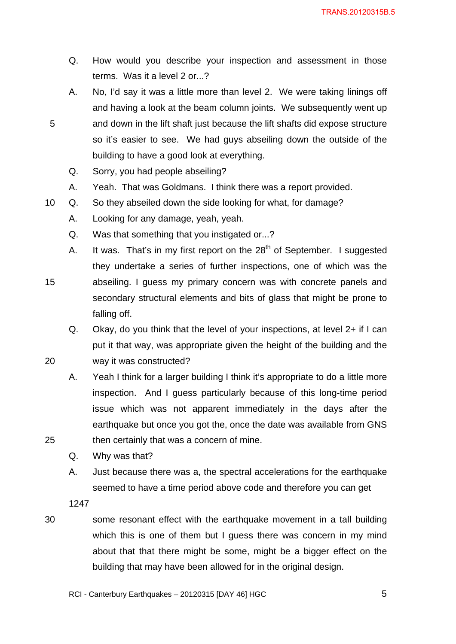- Q. How would you describe your inspection and assessment in those terms. Was it a level 2 or...?
- A. No, I'd say it was a little more than level 2. We were taking linings off and having a look at the beam column joints. We subsequently went up 5 and down in the lift shaft just because the lift shafts did expose structure so it's easier to see. We had guys abseiling down the outside of the building to have a good look at everything.
	- Q. Sorry, you had people abseiling?
	- A. Yeah. That was Goldmans. I think there was a report provided.
- 10 Q. So they abseiled down the side looking for what, for damage?
	- A. Looking for any damage, yeah, yeah.
	- Q. Was that something that you instigated or...?
- A. It was. That's in my first report on the  $28<sup>th</sup>$  of September. I suggested they undertake a series of further inspections, one of which was the 15 abseiling. I guess my primary concern was with concrete panels and secondary structural elements and bits of glass that might be prone to falling off.
- Q. Okay, do you think that the level of your inspections, at level 2+ if I can put it that way, was appropriate given the height of the building and the 20 way it was constructed?
- A. Yeah I think for a larger building I think it's appropriate to do a little more inspection. And I guess particularly because of this long-time period issue which was not apparent immediately in the days after the earthquake but once you got the, once the date was available from GNS 25 then certainly that was a concern of mine.
	- Q. Why was that?
	- A. Just because there was a, the spectral accelerations for the earthquake seemed to have a time period above code and therefore you can get

1247

30 some resonant effect with the earthquake movement in a tall building which this is one of them but I guess there was concern in my mind about that that there might be some, might be a bigger effect on the building that may have been allowed for in the original design.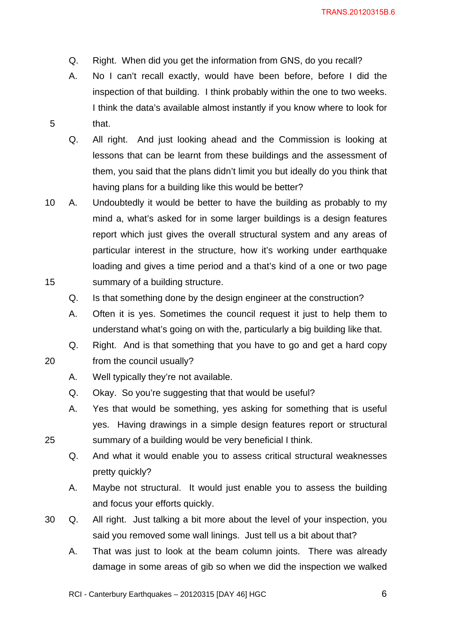- Q. Right. When did you get the information from GNS, do you recall?
- A. No I can't recall exactly, would have been before, before I did the inspection of that building. I think probably within the one to two weeks. I think the data's available almost instantly if you know where to look for 5 that.
	- Q. All right. And just looking ahead and the Commission is looking at lessons that can be learnt from these buildings and the assessment of them, you said that the plans didn't limit you but ideally do you think that having plans for a building like this would be better?
- 10 A. Undoubtedly it would be better to have the building as probably to my mind a, what's asked for in some larger buildings is a design features report which just gives the overall structural system and any areas of particular interest in the structure, how it's working under earthquake loading and gives a time period and a that's kind of a one or two page 15 summary of a building structure.
	- Q. Is that something done by the design engineer at the construction?
	- A. Often it is yes. Sometimes the council request it just to help them to understand what's going on with the, particularly a big building like that.

Q. Right. And is that something that you have to go and get a hard copy 20 from the council usually?

- A. Well typically they're not available.
- Q. Okay. So you're suggesting that that would be useful?
- A. Yes that would be something, yes asking for something that is useful yes. Having drawings in a simple design features report or structural 25 summary of a building would be very beneficial I think.
	- Q. And what it would enable you to assess critical structural weaknesses pretty quickly?
	- A. Maybe not structural. It would just enable you to assess the building and focus your efforts quickly.
- 30 Q. All right. Just talking a bit more about the level of your inspection, you said you removed some wall linings. Just tell us a bit about that?
	- A. That was just to look at the beam column joints. There was already damage in some areas of gib so when we did the inspection we walked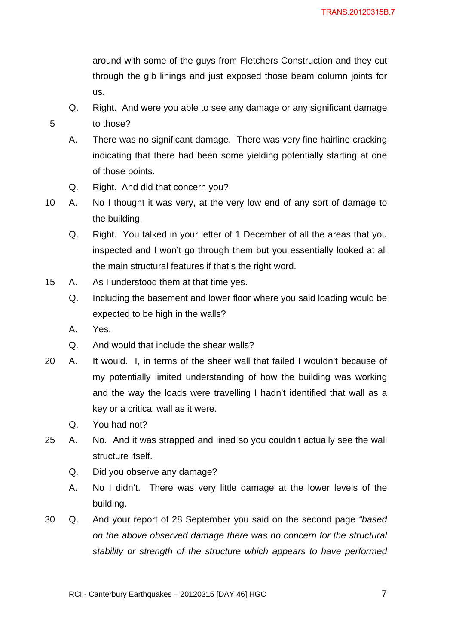around with some of the guys from Fletchers Construction and they cut through the gib linings and just exposed those beam column joints for us.

- Q. Right. And were you able to see any damage or any significant damage 5 to those?
	- A. There was no significant damage. There was very fine hairline cracking indicating that there had been some yielding potentially starting at one of those points.
	- Q. Right. And did that concern you?
- 10 A. No I thought it was very, at the very low end of any sort of damage to the building.
	- Q. Right. You talked in your letter of 1 December of all the areas that you inspected and I won't go through them but you essentially looked at all the main structural features if that's the right word.
- 15 A. As I understood them at that time yes.
	- Q. Including the basement and lower floor where you said loading would be expected to be high in the walls?
	- A. Yes.
	- Q. And would that include the shear walls?
- 20 A. It would. I, in terms of the sheer wall that failed I wouldn't because of my potentially limited understanding of how the building was working and the way the loads were travelling I hadn't identified that wall as a key or a critical wall as it were.
	- Q. You had not?
- 25 A. No. And it was strapped and lined so you couldn't actually see the wall structure itself.
	- Q. Did you observe any damage?
	- A. No I didn't. There was very little damage at the lower levels of the building.
- 30 Q. And your report of 28 September you said on the second page *"based on the above observed damage there was no concern for the structural stability or strength of the structure which appears to have performed*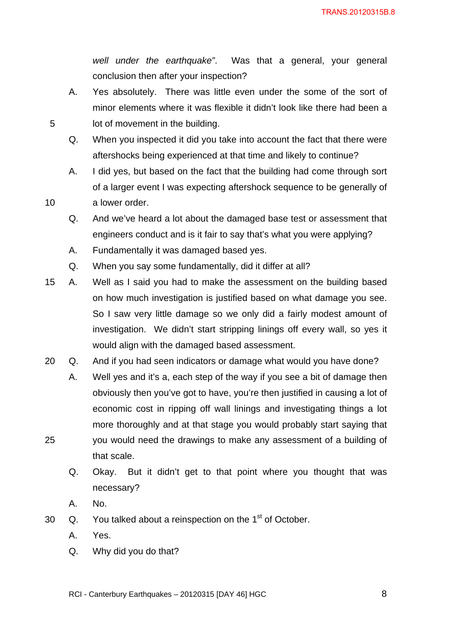*well under the earthquake"*. Was that a general, your general conclusion then after your inspection?

- A. Yes absolutely. There was little even under the some of the sort of minor elements where it was flexible it didn't look like there had been a 5 lot of movement in the building.
	- Q. When you inspected it did you take into account the fact that there were aftershocks being experienced at that time and likely to continue?
- A. I did yes, but based on the fact that the building had come through sort of a larger event I was expecting aftershock sequence to be generally of 10 a lower order.
	- Q. And we've heard a lot about the damaged base test or assessment that engineers conduct and is it fair to say that's what you were applying?
	- A. Fundamentally it was damaged based yes.
	- Q. When you say some fundamentally, did it differ at all?
- 15 A. Well as I said you had to make the assessment on the building based on how much investigation is justified based on what damage you see. So I saw very little damage so we only did a fairly modest amount of investigation. We didn't start stripping linings off every wall, so yes it would align with the damaged based assessment.
- 20 Q. And if you had seen indicators or damage what would you have done?
- A. Well yes and it's a, each step of the way if you see a bit of damage then obviously then you've got to have, you're then justified in causing a lot of economic cost in ripping off wall linings and investigating things a lot more thoroughly and at that stage you would probably start saying that 25 you would need the drawings to make any assessment of a building of that scale.
	- Q. Okay. But it didn't get to that point where you thought that was necessary?
	- A. No.
- 30  $\alpha$ . You talked about a reinspection on the 1<sup>st</sup> of October.
	- A. Yes.
	- Q. Why did you do that?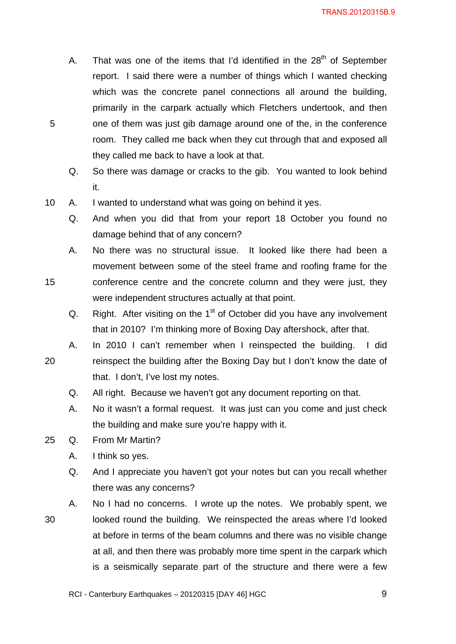- A. That was one of the items that I'd identified in the  $28<sup>th</sup>$  of September report. I said there were a number of things which I wanted checking which was the concrete panel connections all around the building, primarily in the carpark actually which Fletchers undertook, and then 5 one of them was just gib damage around one of the, in the conference room. They called me back when they cut through that and exposed all they called me back to have a look at that.
	- Q. So there was damage or cracks to the gib. You wanted to look behind it.
- 10 A. I wanted to understand what was going on behind it yes.
	- Q. And when you did that from your report 18 October you found no damage behind that of any concern?
- A. No there was no structural issue. It looked like there had been a movement between some of the steel frame and roofing frame for the 15 conference centre and the concrete column and they were just, they were independent structures actually at that point.
	- Q. Right. After visiting on the  $1<sup>st</sup>$  of October did you have any involvement that in 2010? I'm thinking more of Boxing Day aftershock, after that.
- A. In 2010 I can't remember when I reinspected the building. I did 20 reinspect the building after the Boxing Day but I don't know the date of that. I don't, I've lost my notes.
	- Q. All right. Because we haven't got any document reporting on that.
	- A. No it wasn't a formal request. It was just can you come and just check the building and make sure you're happy with it.
- 25 Q. From Mr Martin?
	- A. I think so yes.
	- Q. And I appreciate you haven't got your notes but can you recall whether there was any concerns?
- A. No I had no concerns. I wrote up the notes. We probably spent, we 30 looked round the building. We reinspected the areas where I'd looked at before in terms of the beam columns and there was no visible change at all, and then there was probably more time spent in the carpark which is a seismically separate part of the structure and there were a few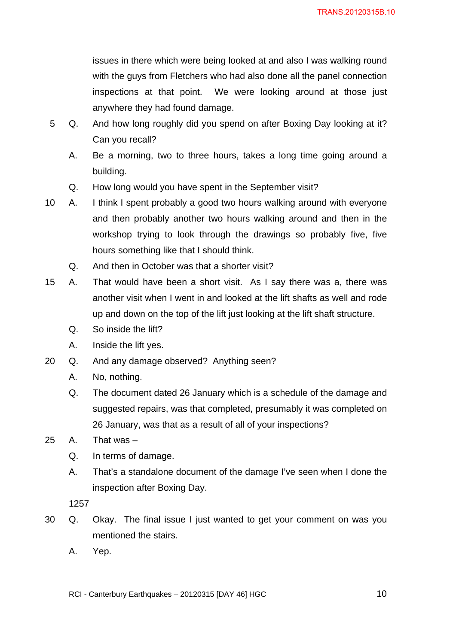issues in there which were being looked at and also I was walking round with the guys from Fletchers who had also done all the panel connection inspections at that point. We were looking around at those just anywhere they had found damage.

- 5 Q. And how long roughly did you spend on after Boxing Day looking at it? Can you recall?
	- A. Be a morning, two to three hours, takes a long time going around a building.
	- Q. How long would you have spent in the September visit?
- 10 A. I think I spent probably a good two hours walking around with everyone and then probably another two hours walking around and then in the workshop trying to look through the drawings so probably five, five hours something like that I should think.
	- Q. And then in October was that a shorter visit?
- 15 A. That would have been a short visit. As I say there was a, there was another visit when I went in and looked at the lift shafts as well and rode up and down on the top of the lift just looking at the lift shaft structure.
	- Q. So inside the lift?
	- A. Inside the lift yes.
- 20 Q. And any damage observed? Anything seen?
	- A. No, nothing.
	- Q. The document dated 26 January which is a schedule of the damage and suggested repairs, was that completed, presumably it was completed on 26 January, was that as a result of all of your inspections?
- 25 A. That was
	- Q. In terms of damage.
	- A. That's a standalone document of the damage I've seen when I done the inspection after Boxing Day.

1257

- 30 Q. Okay. The final issue I just wanted to get your comment on was you mentioned the stairs.
	- A. Yep.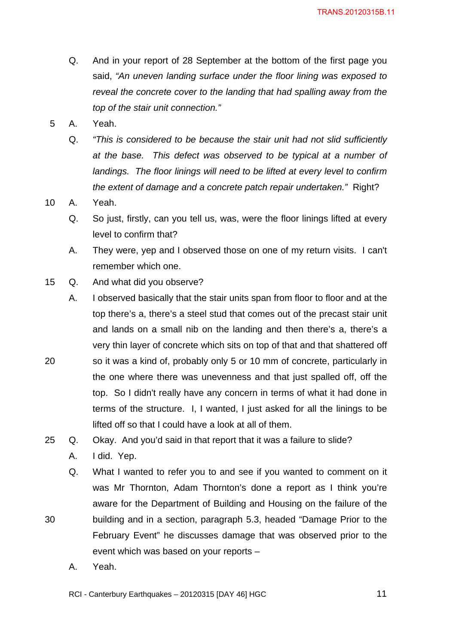- Q. And in your report of 28 September at the bottom of the first page you said, *"An uneven landing surface under the floor lining was exposed to reveal the concrete cover to the landing that had spalling away from the top of the stair unit connection."*
- 5 A. Yeah.
	- Q. *"This is considered to be because the stair unit had not slid sufficiently at the base. This defect was observed to be typical at a number of landings. The floor linings will need to be lifted at every level to confirm the extent of damage and a concrete patch repair undertaken."* Right?
- 10 A. Yeah.
	- Q. So just, firstly, can you tell us, was, were the floor linings lifted at every level to confirm that?
	- A. They were, yep and I observed those on one of my return visits. I can't remember which one.
- 15 Q. And what did you observe?
- A. I observed basically that the stair units span from floor to floor and at the top there's a, there's a steel stud that comes out of the precast stair unit and lands on a small nib on the landing and then there's a, there's a very thin layer of concrete which sits on top of that and that shattered off 20 so it was a kind of, probably only 5 or 10 mm of concrete, particularly in the one where there was unevenness and that just spalled off, off the top. So I didn't really have any concern in terms of what it had done in terms of the structure. I, I wanted, I just asked for all the linings to be lifted off so that I could have a look at all of them.
- 25 Q. Okay. And you'd said in that report that it was a failure to slide?
	- A. I did. Yep.
- Q. What I wanted to refer you to and see if you wanted to comment on it was Mr Thornton, Adam Thornton's done a report as I think you're aware for the Department of Building and Housing on the failure of the 30 building and in a section, paragraph 5.3, headed "Damage Prior to the February Event" he discusses damage that was observed prior to the event which was based on your reports –
	- A. Yeah.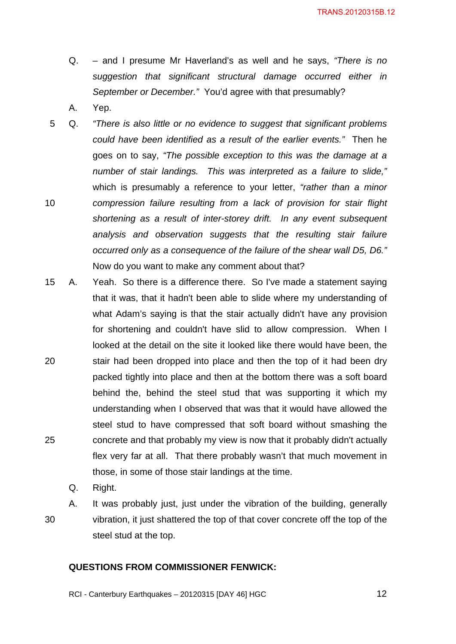- Q. and I presume Mr Haverland's as well and he says, *"There is no suggestion that significant structural damage occurred either in September or December."* You'd agree with that presumably?
- A. Yep.
- 5 Q. *"There is also little or no evidence to suggest that significant problems could have been identified as a result of the earlier events."* Then he goes on to say, *"The possible exception to this was the damage at a number of stair landings. This was interpreted as a failure to slide,"* which is presumably a reference to your letter, *"rather than a minor*  10 *compression failure resulting from a lack of provision for stair flight shortening as a result of inter-storey drift. In any event subsequent analysis and observation suggests that the resulting stair failure occurred only as a consequence of the failure of the shear wall D5, D6."* Now do you want to make any comment about that?
- 15 A. Yeah. So there is a difference there. So I've made a statement saying that it was, that it hadn't been able to slide where my understanding of what Adam's saying is that the stair actually didn't have any provision for shortening and couldn't have slid to allow compression. When I looked at the detail on the site it looked like there would have been, the 20 stair had been dropped into place and then the top of it had been dry packed tightly into place and then at the bottom there was a soft board behind the, behind the steel stud that was supporting it which my understanding when I observed that was that it would have allowed the steel stud to have compressed that soft board without smashing the 25 concrete and that probably my view is now that it probably didn't actually flex very far at all. That there probably wasn't that much movement in those, in some of those stair landings at the time.
	- Q. Right.

A. It was probably just, just under the vibration of the building, generally 30 vibration, it just shattered the top of that cover concrete off the top of the steel stud at the top.

#### **QUESTIONS FROM COMMISSIONER FENWICK:**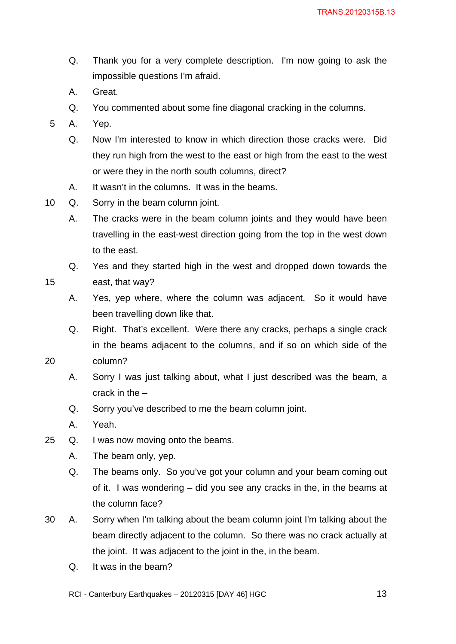- Q. Thank you for a very complete description. I'm now going to ask the impossible questions I'm afraid.
- A. Great.
- Q. You commented about some fine diagonal cracking in the columns.
- 5 A. Yep.
	- Q. Now I'm interested to know in which direction those cracks were. Did they run high from the west to the east or high from the east to the west or were they in the north south columns, direct?
	- A. It wasn't in the columns. It was in the beams.
- 10 Q. Sorry in the beam column joint.
	- A. The cracks were in the beam column joints and they would have been travelling in the east-west direction going from the top in the west down to the east.
- Q. Yes and they started high in the west and dropped down towards the 15 east, that way?
	- A. Yes, yep where, where the column was adjacent. So it would have been travelling down like that.
- Q. Right. That's excellent. Were there any cracks, perhaps a single crack in the beams adjacent to the columns, and if so on which side of the 20 column?
	- A. Sorry I was just talking about, what I just described was the beam, a crack in the –
	- Q. Sorry you've described to me the beam column joint.
	- A. Yeah.
- 25 Q. I was now moving onto the beams.
	- A. The beam only, yep.
	- Q. The beams only. So you've got your column and your beam coming out of it. I was wondering – did you see any cracks in the, in the beams at the column face?
- 30 A. Sorry when I'm talking about the beam column joint I'm talking about the beam directly adjacent to the column. So there was no crack actually at the joint. It was adjacent to the joint in the, in the beam.
	- Q. It was in the beam?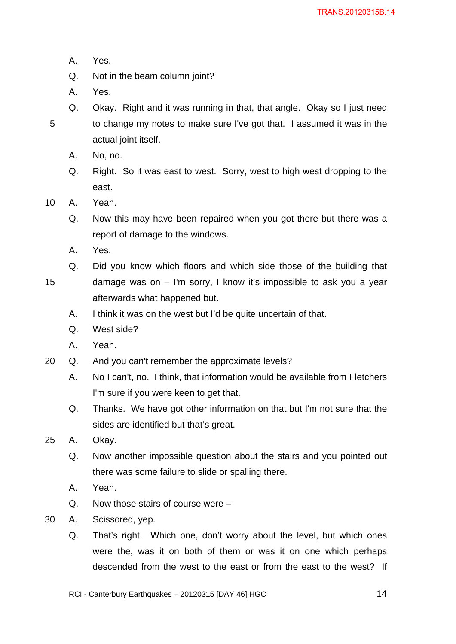- A. Yes.
- Q. Not in the beam column joint?
- A. Yes.
- Q. Okay. Right and it was running in that, that angle. Okay so I just need 5 to change my notes to make sure I've got that. I assumed it was in the actual joint itself.
	- A. No, no.
	- Q. Right. So it was east to west. Sorry, west to high west dropping to the east.
- 10 A. Yeah.
	- Q. Now this may have been repaired when you got there but there was a report of damage to the windows.
	- A. Yes.
	- Q. Did you know which floors and which side those of the building that
- 15 damage was on I'm sorry, I know it's impossible to ask you a year afterwards what happened but.
	- A. I think it was on the west but I'd be quite uncertain of that.
	- Q. West side?
	- A. Yeah.
- 20 Q. And you can't remember the approximate levels?
	- A. No I can't, no. I think, that information would be available from Fletchers I'm sure if you were keen to get that.
	- Q. Thanks. We have got other information on that but I'm not sure that the sides are identified but that's great.
- 25 A. Okay.
	- Q. Now another impossible question about the stairs and you pointed out there was some failure to slide or spalling there.
	- A. Yeah.
	- Q. Now those stairs of course were –
- 30 A. Scissored, yep.
	- Q. That's right. Which one, don't worry about the level, but which ones were the, was it on both of them or was it on one which perhaps descended from the west to the east or from the east to the west? If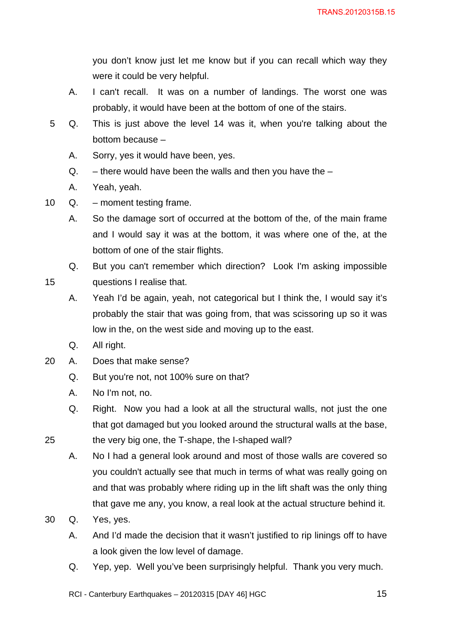you don't know just let me know but if you can recall which way they were it could be very helpful.

- A. I can't recall. It was on a number of landings. The worst one was probably, it would have been at the bottom of one of the stairs.
- 5 Q. This is just above the level 14 was it, when you're talking about the bottom because –
	- A. Sorry, yes it would have been, yes.
	- $Q.$  there would have been the walls and then you have the  $-$
	- A. Yeah, yeah.
- 10 Q. moment testing frame.

A. So the damage sort of occurred at the bottom of the, of the main frame and I would say it was at the bottom, it was where one of the, at the bottom of one of the stair flights.

Q. But you can't remember which direction? Look I'm asking impossible 15 questions I realise that.

- A. Yeah I'd be again, yeah, not categorical but I think the, I would say it's probably the stair that was going from, that was scissoring up so it was low in the, on the west side and moving up to the east.
- Q. All right.
- 20 A. Does that make sense?
	- Q. But you're not, not 100% sure on that?
	- A. No I'm not, no.
	- Q. Right. Now you had a look at all the structural walls, not just the one that got damaged but you looked around the structural walls at the base,

25 the very big one, the T-shape, the I-shaped wall?

- A. No I had a general look around and most of those walls are covered so you couldn't actually see that much in terms of what was really going on and that was probably where riding up in the lift shaft was the only thing that gave me any, you know, a real look at the actual structure behind it.
- 30 Q. Yes, yes.
	- A. And I'd made the decision that it wasn't justified to rip linings off to have a look given the low level of damage.
	- Q. Yep, yep. Well you've been surprisingly helpful. Thank you very much.